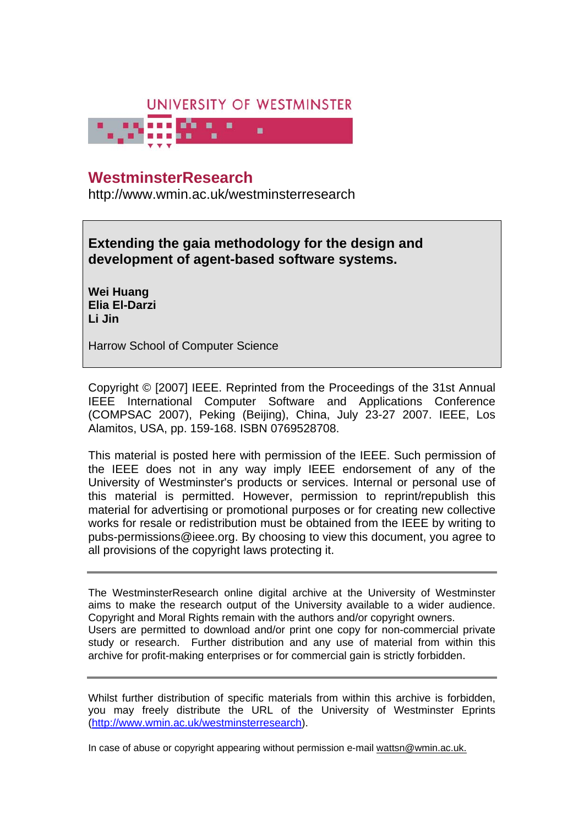

# **WestminsterResearch**

http://www.wmin.ac.uk/westminsterresearch

**Extending the gaia methodology for the design and development of agent-based software systems.** 

**Wei Huang Elia El-Darzi Li Jin** 

Harrow School of Computer Science

Copyright © [2007] IEEE. Reprinted from the Proceedings of the 31st Annual IEEE International Computer Software and Applications Conference (COMPSAC 2007), Peking (Beijing), China, July 23-27 2007. IEEE, Los Alamitos, USA, pp. 159-168. ISBN 0769528708.

This material is posted here with permission of the IEEE. Such permission of the IEEE does not in any way imply IEEE endorsement of any of the University of Westminster's products or services. Internal or personal use of this material is permitted. However, permission to reprint/republish this material for advertising or promotional purposes or for creating new collective works for resale or redistribution must be obtained from the IEEE by writing to pubs-permissions@ieee.org. By choosing to view this document, you agree to all provisions of the copyright laws protecting it.

The WestminsterResearch online digital archive at the University of Westminster aims to make the research output of the University available to a wider audience. Copyright and Moral Rights remain with the authors and/or copyright owners. Users are permitted to download and/or print one copy for non-commercial private study or research. Further distribution and any use of material from within this archive for profit-making enterprises or for commercial gain is strictly forbidden.

Whilst further distribution of specific materials from within this archive is forbidden, you may freely distribute the URL of the University of Westminster Eprints (http://www.wmin.ac.uk/westminsterresearch).

In case of abuse or copyright appearing without permission e-mail wattsn@wmin.ac.uk.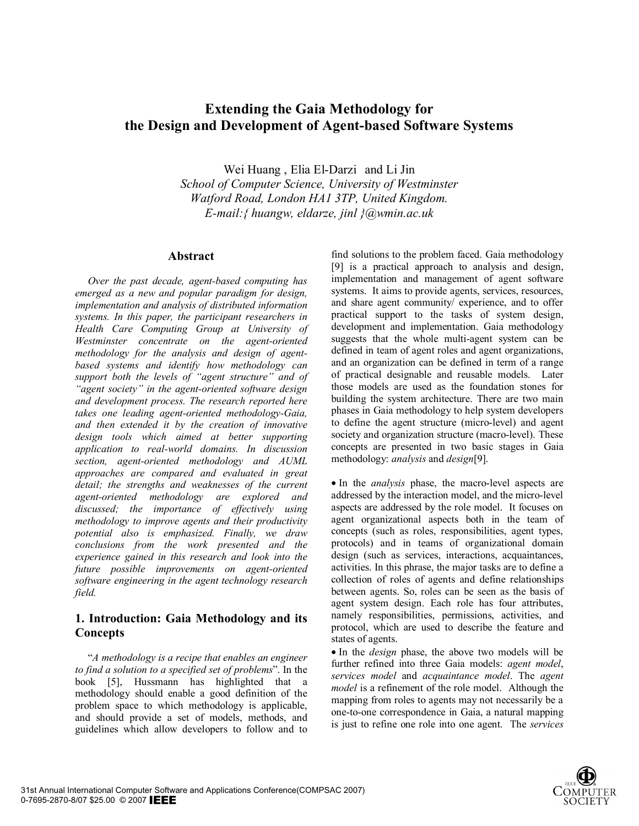## **Extending the Gaia Methodology for the Design and Development of Agent-based Software Systems**

Wei Huang , Elia El-Darzi and Li Jin

*School of Computer Science, University of Westminster Watford Road, London HA1 3TP, United Kingdom. E-mail:{ huangw, eldarze, jinl }@wmin.ac.uk*

#### **Abstract**

*Over the past decade, agent-based computing has emerged as a new and popular paradigm for design, implementation and analysis of distributed information systems. In this paper, the participant researchers in Health Care Computing Group at University of Westminster concentrate on the agent-oriented methodology for the analysis and design of agentbased systems and identify how methodology can support both the levels of "agent structure" and of "agent society" in the agent-oriented software design and development process. The research reported here takes one leading agent-oriented methodology-Gaia, and then extended it by the creation of innovative design tools which aimed at better supporting application to real-world domains. In discussion section, agent-oriented methodology and AUML approaches are compared and evaluated in great detail; the strengths and weaknesses of the current agent-oriented methodology are explored and discussed; the importance of effectively using methodology to improve agents and their productivity potential also is emphasized. Finally, we draw conclusions from the work presented and the experience gained in this research and look into the future possible improvements on agent-oriented software engineering in the agent technology research field.* 

## **1. Introduction: Gaia Methodology and its Concepts**

"*A methodology is a recipe that enables an engineer to find a solution to a specified set of problems*". In the book [5], Hussmann has highlighted that a methodology should enable a good definition of the problem space to which methodology is applicable, and should provide a set of models, methods, and guidelines which allow developers to follow and to

find solutions to the problem faced. Gaia methodology [9] is a practical approach to analysis and design, implementation and management of agent software systems. It aims to provide agents, services, resources, and share agent community/ experience, and to offer practical support to the tasks of system design, development and implementation. Gaia methodology suggests that the whole multi-agent system can be defined in team of agent roles and agent organizations, and an organization can be defined in term of a range of practical designable and reusable models. Later those models are used as the foundation stones for building the system architecture. There are two main phases in Gaia methodology to help system developers to define the agent structure (micro-level) and agent society and organization structure (macro-level). These concepts are presented in two basic stages in Gaia methodology: *analysis* and *design*[9].

• In the *analysis* phase, the macro-level aspects are addressed by the interaction model, and the micro-level aspects are addressed by the role model. It focuses on agent organizational aspects both in the team of concepts (such as roles, responsibilities, agent types, protocols) and in teams of organizational domain design (such as services, interactions, acquaintances, activities. In this phrase, the major tasks are to define a collection of roles of agents and define relationships between agents. So, roles can be seen as the basis of agent system design. Each role has four attributes, namely responsibilities, permissions, activities, and protocol, which are used to describe the feature and states of agents.

• In the *design* phase, the above two models will be further refined into three Gaia models: *agent model*, *services model* and *acquaintance model*. The *agent model* is a refinement of the role model. Although the mapping from roles to agents may not necessarily be a one-to-one correspondence in Gaia, a natural mapping is just to refine one role into one agent. The *services* 

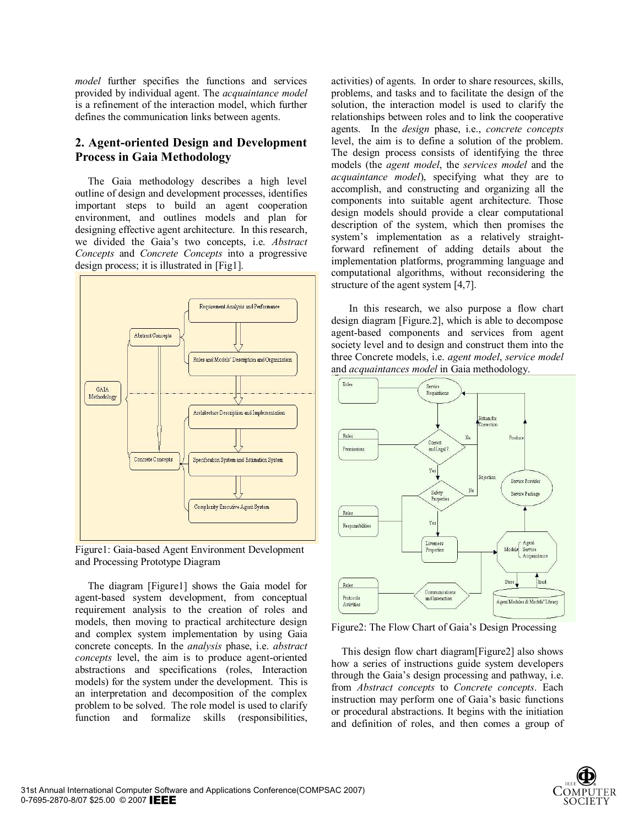*model* further specifies the functions and services provided by individual agent. The *acquaintance model* is a refinement of the interaction model, which further defines the communication links between agents.

## **2. Agent-oriented Design and Development Process in Gaia Methodology**

The Gaia methodology describes a high level outline of design and development processes, identifies important steps to build an agent cooperation environment, and outlines models and plan for designing effective agent architecture. In this research, we divided the Gaia's two concepts, i.e. *Abstract Concepts* and *Concrete Concepts* into a progressive design process; it is illustrated in [Fig1].



Figure1: Gaia-based Agent Environment Development and Processing Prototype Diagram

The diagram [Figure1] shows the Gaia model for agent-based system development, from conceptual requirement analysis to the creation of roles and models, then moving to practical architecture design and complex system implementation by using Gaia concrete concepts. In the *analysis* phase, i.e. *abstract concepts* level, the aim is to produce agent-oriented abstractions and specifications (roles, Interaction models) for the system under the development. This is an interpretation and decomposition of the complex problem to be solved. The role model is used to clarify function and formalize skills (responsibilities,

activities) of agents. In order to share resources, skills, problems, and tasks and to facilitate the design of the solution, the interaction model is used to clarify the relationships between roles and to link the cooperative agents. In the *design* phase, i.e., *concrete concepts* level, the aim is to define a solution of the problem. The design process consists of identifying the three models (the *agent model*, the *services model* and the *acquaintance model*), specifying what they are to accomplish, and constructing and organizing all the components into suitable agent architecture. Those design models should provide a clear computational description of the system, which then promises the system's implementation as a relatively straightforward refinement of adding details about the implementation platforms, programming language and computational algorithms, without reconsidering the structure of the agent system [4,7].

 In this research, we also purpose a flow chart design diagram [Figure.2], which is able to decompose agent-based components and services from agent society level and to design and construct them into the three Concrete models, i.e. *agent model*, *service model* and *acquaintances model* in Gaia methodology.



Figure2: The Flow Chart of Gaia's Design Processing

 This design flow chart diagram[Figure2] also shows how a series of instructions guide system developers through the Gaia's design processing and pathway, i.e. from *Abstract concepts* to *Concrete concepts*. Each instruction may perform one of Gaia's basic functions or procedural abstractions. It begins with the initiation and definition of roles, and then comes a group of

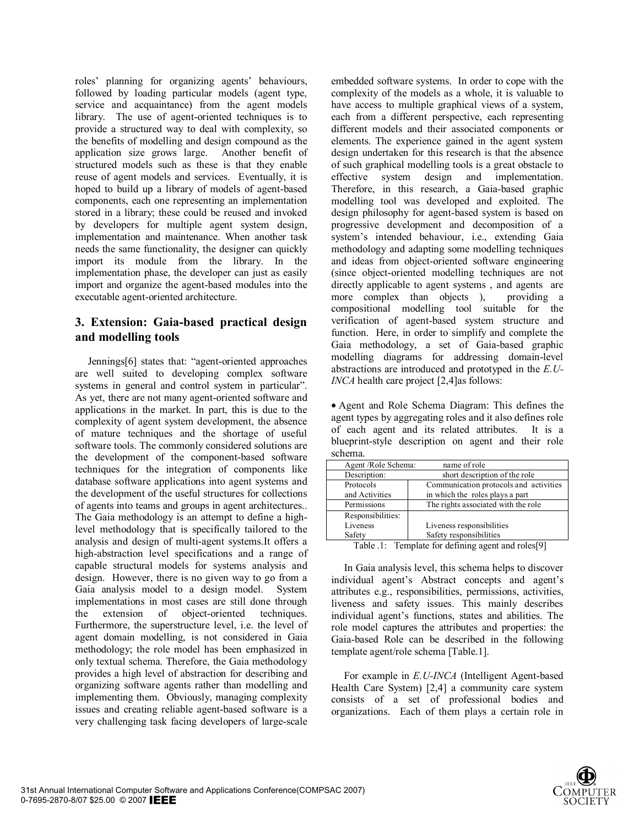roles' planning for organizing agents' behaviours, followed by loading particular models (agent type, service and acquaintance) from the agent models library. The use of agent-oriented techniques is to provide a structured way to deal with complexity, so the benefits of modelling and design compound as the application size grows large. Another benefit of structured models such as these is that they enable reuse of agent models and services. Eventually, it is hoped to build up a library of models of agent-based components, each one representing an implementation stored in a library; these could be reused and invoked by developers for multiple agent system design, implementation and maintenance. When another task needs the same functionality, the designer can quickly import its module from the library. In the implementation phase, the developer can just as easily import and organize the agent-based modules into the executable agent-oriented architecture.

## **3. Extension: Gaia-based practical design and modelling tools**

Jennings[6] states that: "agent-oriented approaches are well suited to developing complex software systems in general and control system in particular". As yet, there are not many agent-oriented software and applications in the market. In part, this is due to the complexity of agent system development, the absence of mature techniques and the shortage of useful software tools. The commonly considered solutions are the development of the component-based software techniques for the integration of components like database software applications into agent systems and the development of the useful structures for collections of agents into teams and groups in agent architectures.. The Gaia methodology is an attempt to define a highlevel methodology that is specifically tailored to the analysis and design of multi-agent systems.It offers a high-abstraction level specifications and a range of capable structural models for systems analysis and design. However, there is no given way to go from a Gaia analysis model to a design model. System implementations in most cases are still done through the extension of object-oriented techniques. Furthermore, the superstructure level, i.e. the level of agent domain modelling, is not considered in Gaia methodology; the role model has been emphasized in only textual schema. Therefore, the Gaia methodology provides a high level of abstraction for describing and organizing software agents rather than modelling and implementing them. Obviously, managing complexity issues and creating reliable agent-based software is a very challenging task facing developers of large-scale

embedded software systems. In order to cope with the complexity of the models as a whole, it is valuable to have access to multiple graphical views of a system, each from a different perspective, each representing different models and their associated components or elements. The experience gained in the agent system design undertaken for this research is that the absence of such graphical modelling tools is a great obstacle to effective system design and implementation. Therefore, in this research, a Gaia-based graphic modelling tool was developed and exploited. The design philosophy for agent-based system is based on progressive development and decomposition of a system's intended behaviour, i.e., extending Gaia methodology and adapting some modelling techniques and ideas from object-oriented software engineering (since object-oriented modelling techniques are not directly applicable to agent systems , and agents are more complex than objects ), providing a compositional modelling tool suitable for the verification of agent-based system structure and function. Here, in order to simplify and complete the Gaia methodology, a set of Gaia-based graphic modelling diagrams for addressing domain-level abstractions are introduced and prototyped in the *E.U-INCA* health care project [2,4]as follows:

• Agent and Role Schema Diagram: This defines the agent types by aggregating roles and it also defines role of each agent and its related attributes. It is a blueprint-style description on agent and their role schema.

| Agent /Role Schema:                                  | name of role                           |  |  |  |
|------------------------------------------------------|----------------------------------------|--|--|--|
| Description:                                         | short description of the role          |  |  |  |
| Protocols                                            | Communication protocols and activities |  |  |  |
| and Activities                                       | in which the roles plays a part        |  |  |  |
| Permissions                                          | The rights associated with the role    |  |  |  |
| Responsibilities:                                    |                                        |  |  |  |
| Liveness                                             | Liveness responsibilities              |  |  |  |
| Safety                                               | Safety responsibilities                |  |  |  |
| Template for defining agent and roles[9]<br>Tahle 1. |                                        |  |  |  |

Table .1: Template for defining agent and roles[9]

In Gaia analysis level, this schema helps to discover individual agent's Abstract concepts and agent's attributes e.g., responsibilities, permissions, activities, liveness and safety issues. This mainly describes individual agent's functions, states and abilities. The role model captures the attributes and properties: the Gaia-based Role can be described in the following template agent/role schema [Table.1].

For example in *E.U-INCA* (Intelligent Agent-based Health Care System) [2,4] a community care system consists of a set of professional bodies and organizations. Each of them plays a certain role in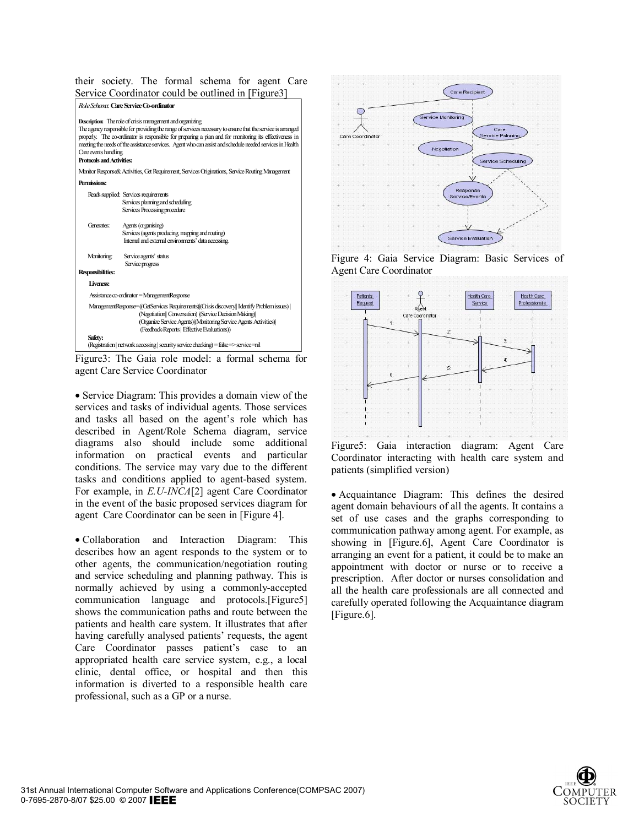|  |  | their society. The formal schema for agent Care    |  |  |
|--|--|----------------------------------------------------|--|--|
|  |  | Service Coordinator could be outlined in [Figure3] |  |  |

| $\sim$<br><b>Role Schema Care Service Co-ordinator</b>                                                                                                                                                                                                                     |                                                                                                                                                                                                                                                                                                                                                                                                        |  |  |  |
|----------------------------------------------------------------------------------------------------------------------------------------------------------------------------------------------------------------------------------------------------------------------------|--------------------------------------------------------------------------------------------------------------------------------------------------------------------------------------------------------------------------------------------------------------------------------------------------------------------------------------------------------------------------------------------------------|--|--|--|
| Care events handling.<br>Protocols and Activities:                                                                                                                                                                                                                         | <b>Description:</b> The role of crisis management and organizing<br>The agency responsible for providing the range of services necessary to ensure that the service is arranged<br>properly. The co-ordinator is responsible for preparing a plan and for monitoring its effectiveness in<br>meeting the needs of the assistance services. Agent who can assist and schedule needed services in Health |  |  |  |
|                                                                                                                                                                                                                                                                            | Monitor Response& Activities, Get Requirement, Services Originations, Service Routing Management                                                                                                                                                                                                                                                                                                       |  |  |  |
| Permissions:                                                                                                                                                                                                                                                               |                                                                                                                                                                                                                                                                                                                                                                                                        |  |  |  |
|                                                                                                                                                                                                                                                                            | Reads supplied: Services requirements<br>Services planning and scheduling<br>Services Processing procedure                                                                                                                                                                                                                                                                                             |  |  |  |
| Generates:                                                                                                                                                                                                                                                                 | Agents (crganising)<br>Services (agents producing, mapping and routing)<br>Internal and external environments' data accessing.                                                                                                                                                                                                                                                                         |  |  |  |
| Montoring                                                                                                                                                                                                                                                                  | Service agents' status<br>Service progress                                                                                                                                                                                                                                                                                                                                                             |  |  |  |
| Responsibilities:                                                                                                                                                                                                                                                          |                                                                                                                                                                                                                                                                                                                                                                                                        |  |  |  |
| <b>Liveness:</b>                                                                                                                                                                                                                                                           |                                                                                                                                                                                                                                                                                                                                                                                                        |  |  |  |
| Assistance co-ordinator = ManagementResponse                                                                                                                                                                                                                               |                                                                                                                                                                                                                                                                                                                                                                                                        |  |  |  |
| Management Response=((GetServices Requirements))(Crisis discovery   Identify Problem issues)  <br>(Negotiation) Conversation) (Service Decision Making)<br>(Organize Service Agents) (Monitoring Service Agents Activities)<br>(Feedback-Reports   Effective Evaluations)) |                                                                                                                                                                                                                                                                                                                                                                                                        |  |  |  |
| Safety:<br>(Registration   network accessing   security service checking) = false => service=nil                                                                                                                                                                           |                                                                                                                                                                                                                                                                                                                                                                                                        |  |  |  |

Figure3: The Gaia role model: a formal schema for agent Care Service Coordinator

• Service Diagram: This provides a domain view of the services and tasks of individual agents. Those services and tasks all based on the agent's role which has described in Agent/Role Schema diagram, service diagrams also should include some additional information on practical events and particular conditions. The service may vary due to the different tasks and conditions applied to agent-based system. For example, in *E.U-INCA*[2] agent Care Coordinator in the event of the basic proposed services diagram for agent Care Coordinator can be seen in [Figure 4].

• Collaboration and Interaction Diagram: This describes how an agent responds to the system or to other agents, the communication/negotiation routing and service scheduling and planning pathway. This is normally achieved by using a commonly-accepted communication language and protocols.[Figure5] shows the communication paths and route between the patients and health care system. It illustrates that after having carefully analysed patients' requests, the agent Care Coordinator passes patient's case to an appropriated health care service system, e.g., a local clinic, dental office, or hospital and then this information is diverted to a responsible health care professional, such as a GP or a nurse.



Figure 4: Gaia Service Diagram: Basic Services of Agent Care Coordinator



Figure5: Gaia interaction diagram: Agent Care Coordinator interacting with health care system and patients (simplified version)

• Acquaintance Diagram: This defines the desired agent domain behaviours of all the agents. It contains a set of use cases and the graphs corresponding to communication pathway among agent. For example, as showing in [Figure.6], Agent Care Coordinator is arranging an event for a patient, it could be to make an appointment with doctor or nurse or to receive a prescription. After doctor or nurses consolidation and all the health care professionals are all connected and carefully operated following the Acquaintance diagram [Figure.6].

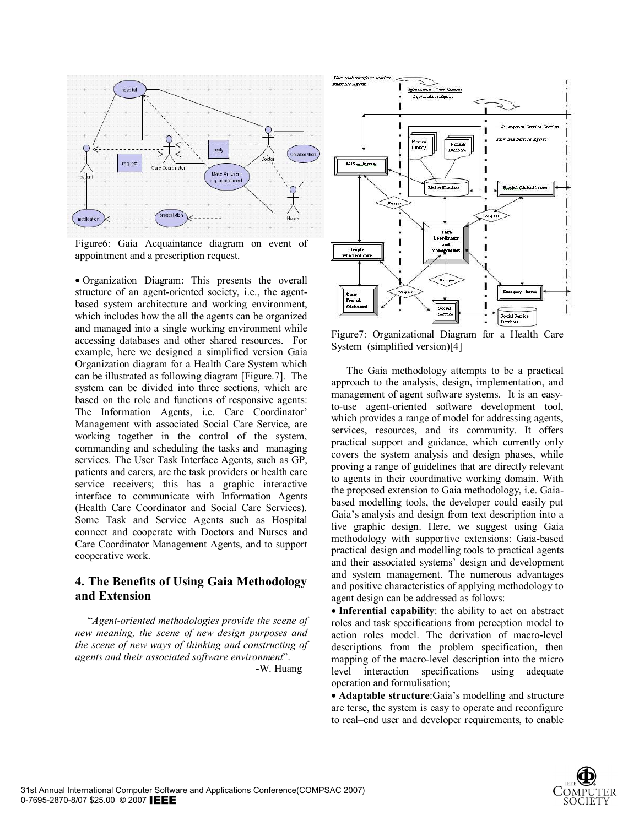

Figure6: Gaia Acquaintance diagram on event of appointment and a prescription request.

• Organization Diagram: This presents the overall structure of an agent-oriented society, i.e., the agentbased system architecture and working environment, which includes how the all the agents can be organized and managed into a single working environment while accessing databases and other shared resources. For example, here we designed a simplified version Gaia Organization diagram for a Health Care System which can be illustrated as following diagram [Figure.7]. The system can be divided into three sections, which are based on the role and functions of responsive agents: The Information Agents, i.e. Care Coordinator' Management with associated Social Care Service, are working together in the control of the system, commanding and scheduling the tasks and managing services. The User Task Interface Agents, such as GP, patients and carers, are the task providers or health care service receivers; this has a graphic interactive interface to communicate with Information Agents (Health Care Coordinator and Social Care Services). Some Task and Service Agents such as Hospital connect and cooperate with Doctors and Nurses and Care Coordinator Management Agents, and to support cooperative work.

#### **4. The Benefits of Using Gaia Methodology and Extension**

"*Agent-oriented methodologies provide the scene of new meaning, the scene of new design purposes and the scene of new ways of thinking and constructing of agents and their associated software environment*". -W. Huang



Figure7: Organizational Diagram for a Health Care System (simplified version)[4]

 The Gaia methodology attempts to be a practical approach to the analysis, design, implementation, and management of agent software systems. It is an easyto-use agent-oriented software development tool, which provides a range of model for addressing agents, services, resources, and its community. It offers practical support and guidance, which currently only covers the system analysis and design phases, while proving a range of guidelines that are directly relevant to agents in their coordinative working domain. With the proposed extension to Gaia methodology, i.e. Gaiabased modelling tools, the developer could easily put Gaia's analysis and design from text description into a live graphic design. Here, we suggest using Gaia methodology with supportive extensions: Gaia-based practical design and modelling tools to practical agents and their associated systems' design and development and system management. The numerous advantages and positive characteristics of applying methodology to agent design can be addressed as follows:

• **Inferential capability**: the ability to act on abstract roles and task specifications from perception model to action roles model. The derivation of macro-level descriptions from the problem specification, then mapping of the macro-level description into the micro level interaction specifications using adequate operation and formulisation;

• **Adaptable structure**:Gaia's modelling and structure are terse, the system is easy to operate and reconfigure to real–end user and developer requirements, to enable

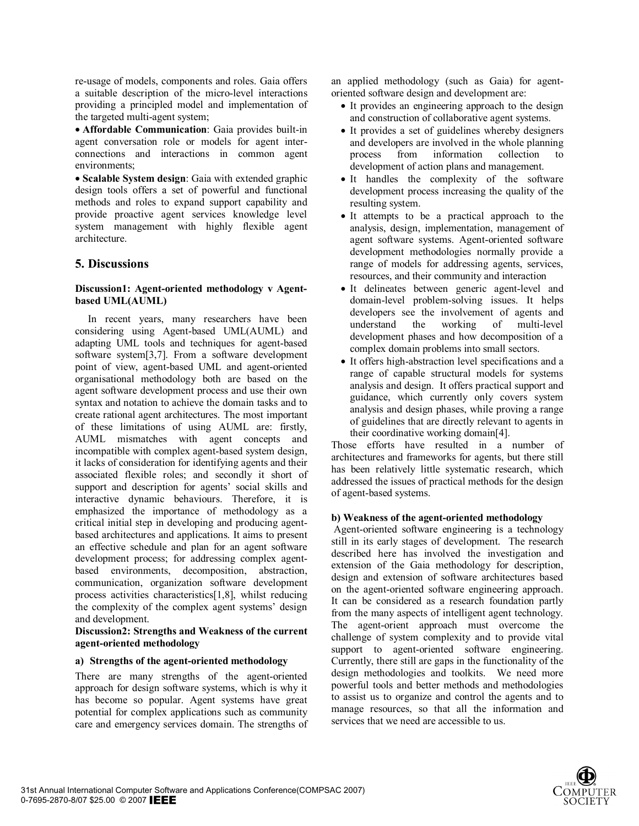re-usage of models, components and roles. Gaia offers a suitable description of the micro-level interactions providing a principled model and implementation of the targeted multi-agent system;

• **Affordable Communication**: Gaia provides built-in agent conversation role or models for agent interconnections and interactions in common agent environments;

• **Scalable System design**: Gaia with extended graphic design tools offers a set of powerful and functional methods and roles to expand support capability and provide proactive agent services knowledge level system management with highly flexible agent architecture.

## **5. Discussions**

#### **Discussion1: Agent-oriented methodology v Agentbased UML(AUML)**

In recent years, many researchers have been considering using Agent-based UML(AUML) and adapting UML tools and techniques for agent-based software system[3,7]. From a software development point of view, agent-based UML and agent-oriented organisational methodology both are based on the agent software development process and use their own syntax and notation to achieve the domain tasks and to create rational agent architectures. The most important of these limitations of using AUML are: firstly, AUML mismatches with agent concepts and incompatible with complex agent-based system design, it lacks of consideration for identifying agents and their associated flexible roles; and secondly it short of support and description for agents' social skills and interactive dynamic behaviours. Therefore, it is emphasized the importance of methodology as a critical initial step in developing and producing agentbased architectures and applications. It aims to present an effective schedule and plan for an agent software development process; for addressing complex agentbased environments, decomposition, abstraction, communication, organization software development process activities characteristics[1,8], whilst reducing the complexity of the complex agent systems' design and development.

#### **Discussion2: Strengths and Weakness of the current agent-oriented methodology**

#### **a) Strengths of the agent-oriented methodology**

There are many strengths of the agent-oriented approach for design software systems, which is why it has become so popular. Agent systems have great potential for complex applications such as community care and emergency services domain. The strengths of an applied methodology (such as Gaia) for agentoriented software design and development are:

- It provides an engineering approach to the design and construction of collaborative agent systems.
- It provides a set of guidelines whereby designers and developers are involved in the whole planning process from information collection to development of action plans and management.
- It handles the complexity of the software development process increasing the quality of the resulting system.
- It attempts to be a practical approach to the analysis, design, implementation, management of agent software systems. Agent-oriented software development methodologies normally provide a range of models for addressing agents, services, resources, and their community and interaction
- It delineates between generic agent-level and domain-level problem-solving issues. It helps developers see the involvement of agents and understand the working of multi-level development phases and how decomposition of a complex domain problems into small sectors.
- It offers high-abstraction level specifications and a range of capable structural models for systems analysis and design. It offers practical support and guidance, which currently only covers system analysis and design phases, while proving a range of guidelines that are directly relevant to agents in their coordinative working domain[4].

Those efforts have resulted in a number of architectures and frameworks for agents, but there still has been relatively little systematic research, which addressed the issues of practical methods for the design of agent-based systems.

#### **b) Weakness of the agent-oriented methodology**

 Agent-oriented software engineering is a technology still in its early stages of development. The research described here has involved the investigation and extension of the Gaia methodology for description, design and extension of software architectures based on the agent-oriented software engineering approach. It can be considered as a research foundation partly from the many aspects of intelligent agent technology. The agent-orient approach must overcome the challenge of system complexity and to provide vital support to agent-oriented software engineering. Currently, there still are gaps in the functionality of the design methodologies and toolkits. We need more powerful tools and better methods and methodologies to assist us to organize and control the agents and to manage resources, so that all the information and services that we need are accessible to us.